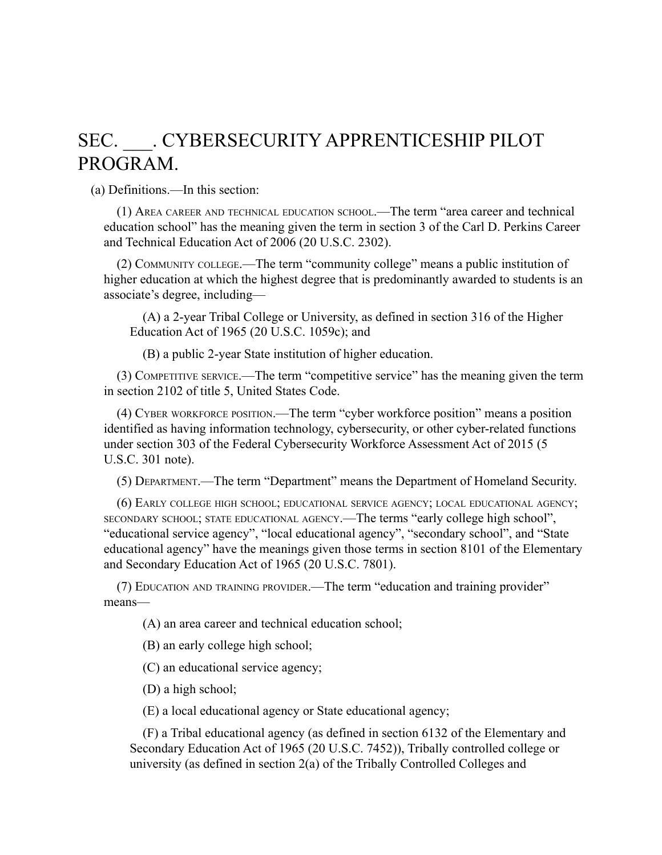## SEC. CYBERSECURITY APPRENTICESHIP PILOT PROGRAM.

(a) Definitions.—In this section:

(1) AREA CAREER AND TECHNICAL EDUCATION SCHOOL.—The term "area career and technical education school" has the meaning given the term in section 3 of the Carl D. Perkins Career and Technical Education Act of 2006 (20 U.S.C. 2302).

(2) COMMUNITY COLLEGE.—The term "community college" means a public institution of higher education at which the highest degree that is predominantly awarded to students is an associate's degree, including—

(A) a 2-year Tribal College or University, as defined in section 316 of the Higher Education Act of 1965 (20 U.S.C. 1059c); and

(B) a public 2-year State institution of higher education.

(3) COMPETITIVE SERVICE.—The term "competitive service" has the meaning given the term in section 2102 of title 5, United States Code.

(4) CYBER WORKFORCE POSITION.—The term "cyber workforce position" means a position identified as having information technology, cybersecurity, or other cyber-related functions under section 303 of the Federal Cybersecurity Workforce Assessment Act of 2015 (5 U.S.C. 301 note).

(5) DEPARTMENT.—The term "Department" means the Department of Homeland Security.

(6) EARLY COLLEGE HIGH SCHOOL; EDUCATIONAL SERVICE AGENCY; LOCAL EDUCATIONAL AGENCY; SECONDARY SCHOOL; STATE EDUCATIONAL AGENCY.—The terms "early college high school", "educational service agency", "local educational agency", "secondary school", and "State educational agency" have the meanings given those terms in section 8101 of the Elementary and Secondary Education Act of 1965 (20 U.S.C. 7801).

(7) EDUCATION AND TRAINING PROVIDER.—The term "education and training provider" means—

(A) an area career and technical education school;

(B) an early college high school;

(C) an educational service agency;

(D) a high school;

(E) a local educational agency or State educational agency;

(F) a Tribal educational agency (as defined in section 6132 of the Elementary and Secondary Education Act of 1965 (20 U.S.C. 7452)), Tribally controlled college or university (as defined in section 2(a) of the Tribally Controlled Colleges and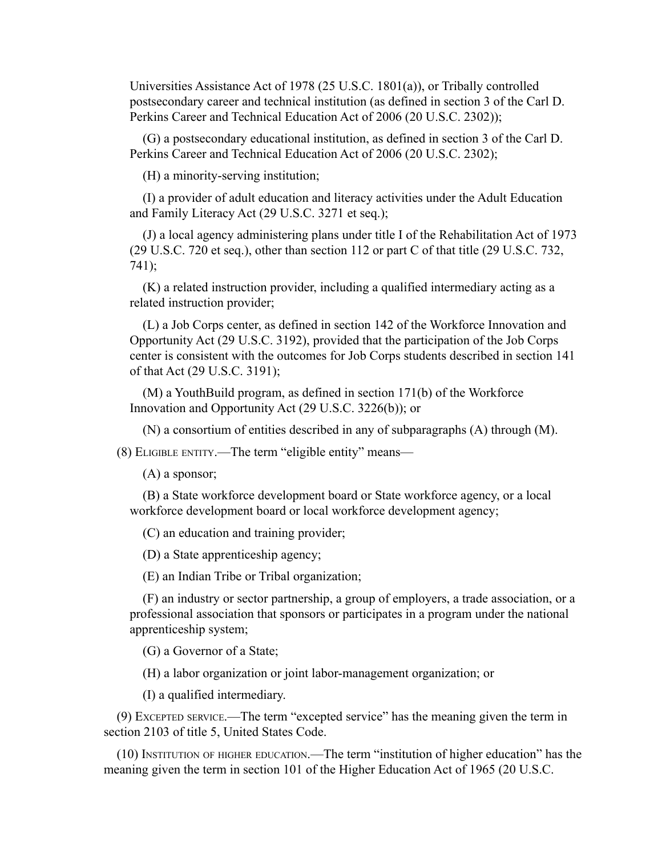Universities Assistance Act of 1978 (25 U.S.C. 1801(a)), or Tribally controlled postsecondary career and technical institution (as defined in section 3 of the Carl D. Perkins Career and Technical Education Act of 2006 (20 U.S.C. 2302));

(G) a postsecondary educational institution, as defined in section 3 of the Carl D. Perkins Career and Technical Education Act of 2006 (20 U.S.C. 2302);

(H) a minority-serving institution;

(I) a provider of adult education and literacy activities under the Adult Education and Family Literacy Act (29 U.S.C. 3271 et seq.);

(J) a local agency administering plans under title I of the Rehabilitation Act of 1973 (29 U.S.C. 720 et seq.), other than section 112 or part C of that title (29 U.S.C. 732, 741);

(K) a related instruction provider, including a qualified intermediary acting as a related instruction provider;

(L) a Job Corps center, as defined in section 142 of the Workforce Innovation and Opportunity Act (29 U.S.C. 3192), provided that the participation of the Job Corps center is consistent with the outcomes for Job Corps students described in section 141 of that Act (29 U.S.C. 3191);

(M) a YouthBuild program, as defined in section 171(b) of the Workforce Innovation and Opportunity Act (29 U.S.C. 3226(b)); or

(N) a consortium of entities described in any of subparagraphs (A) through (M).

(8) ELIGIBLE ENTITY.—The term "eligible entity" means—

(A) a sponsor;

(B) a State workforce development board or State workforce agency, or a local workforce development board or local workforce development agency;

(C) an education and training provider;

(D) a State apprenticeship agency;

(E) an Indian Tribe or Tribal organization;

(F) an industry or sector partnership, a group of employers, a trade association, or a professional association that sponsors or participates in a program under the national apprenticeship system;

(G) a Governor of a State;

(H) a labor organization or joint labor-management organization; or

(I) a qualified intermediary.

(9) EXCEPTED SERVICE.—The term "excepted service" has the meaning given the term in section 2103 of title 5, United States Code.

(10) INSTITUTION OF HIGHER EDUCATION.—The term "institution of higher education" has the meaning given the term in section 101 of the Higher Education Act of 1965 (20 U.S.C.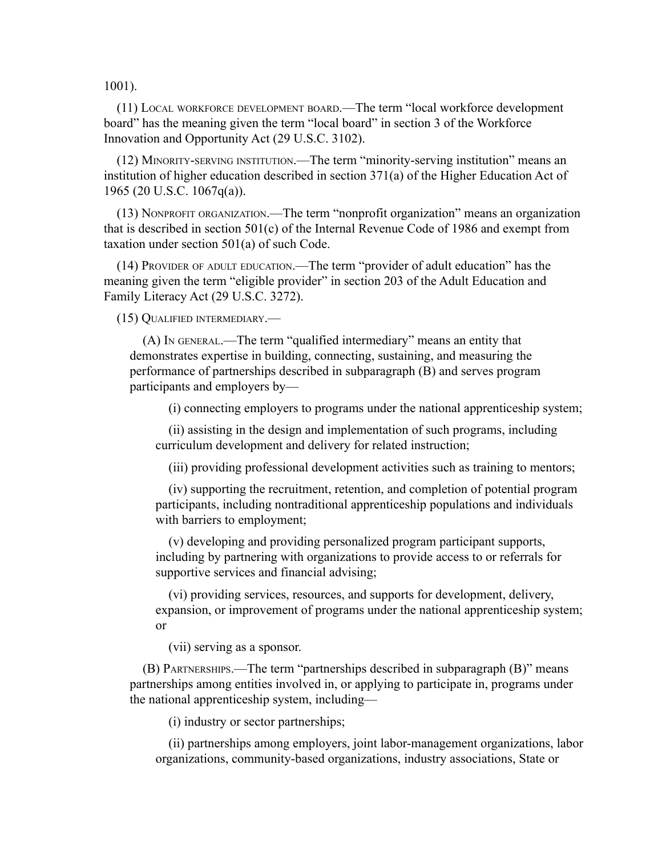1001).

(11) LOCAL WORKFORCE DEVELOPMENT BOARD.—The term "local workforce development board" has the meaning given the term "local board" in section 3 of the Workforce Innovation and Opportunity Act (29 U.S.C. 3102).

(12) MINORITY-SERVING INSTITUTION.—The term "minority-serving institution" means an institution of higher education described in section 371(a) of the Higher Education Act of 1965 (20 U.S.C. 1067q(a)).

(13) NONPROFIT ORGANIZATION.—The term "nonprofit organization" means an organization that is described in section 501(c) of the Internal Revenue Code of 1986 and exempt from taxation under section 501(a) of such Code.

(14) PROVIDER OF ADULT EDUCATION.—The term "provider of adult education" has the meaning given the term "eligible provider" in section 203 of the Adult Education and Family Literacy Act (29 U.S.C. 3272).

(15) QUALIFIED INTERMEDIARY.—

(A) IN GENERAL.—The term "qualified intermediary" means an entity that demonstrates expertise in building, connecting, sustaining, and measuring the performance of partnerships described in subparagraph (B) and serves program participants and employers by—

(i) connecting employers to programs under the national apprenticeship system;

(ii) assisting in the design and implementation of such programs, including curriculum development and delivery for related instruction;

(iii) providing professional development activities such as training to mentors;

(iv) supporting the recruitment, retention, and completion of potential program participants, including nontraditional apprenticeship populations and individuals with barriers to employment;

(v) developing and providing personalized program participant supports, including by partnering with organizations to provide access to or referrals for supportive services and financial advising;

(vi) providing services, resources, and supports for development, delivery, expansion, or improvement of programs under the national apprenticeship system; or

(vii) serving as a sponsor.

(B) PARTNERSHIPS.—The term "partnerships described in subparagraph (B)" means partnerships among entities involved in, or applying to participate in, programs under the national apprenticeship system, including—

(i) industry or sector partnerships;

(ii) partnerships among employers, joint labor-management organizations, labor organizations, community-based organizations, industry associations, State or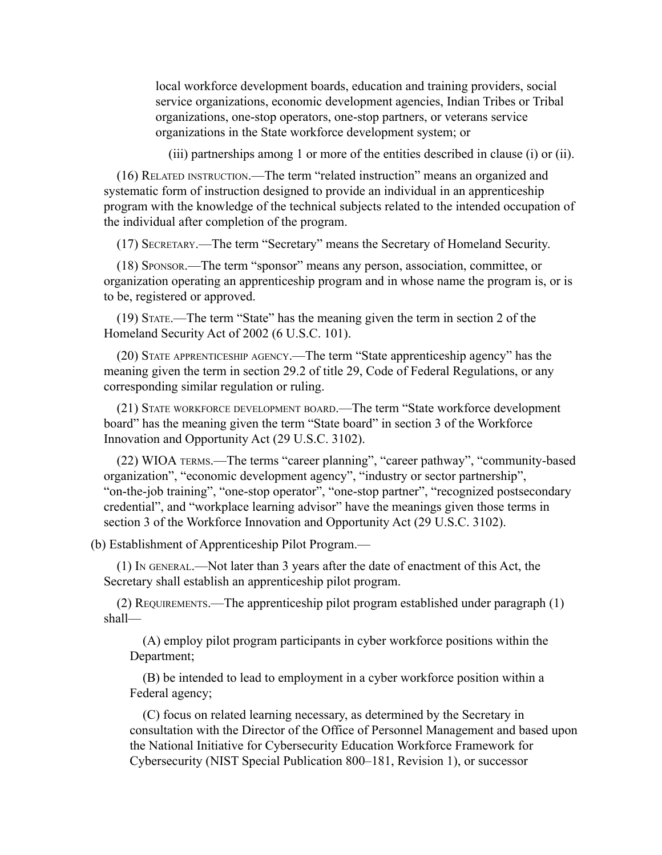local workforce development boards, education and training providers, social service organizations, economic development agencies, Indian Tribes or Tribal organizations, one-stop operators, one-stop partners, or veterans service organizations in the State workforce development system; or

(iii) partnerships among 1 or more of the entities described in clause (i) or (ii).

(16) RELATED INSTRUCTION.—The term "related instruction" means an organized and systematic form of instruction designed to provide an individual in an apprenticeship program with the knowledge of the technical subjects related to the intended occupation of the individual after completion of the program.

(17) SECRETARY.—The term "Secretary" means the Secretary of Homeland Security.

(18) SPONSOR.—The term "sponsor" means any person, association, committee, or organization operating an apprenticeship program and in whose name the program is, or is to be, registered or approved.

(19) STATE.—The term "State" has the meaning given the term in section 2 of the Homeland Security Act of 2002 (6 U.S.C. 101).

(20) STATE APPRENTICESHIP AGENCY.—The term "State apprenticeship agency" has the meaning given the term in section 29.2 of title 29, Code of Federal Regulations, or any corresponding similar regulation or ruling.

(21) STATE WORKFORCE DEVELOPMENT BOARD.—The term "State workforce development board" has the meaning given the term "State board" in section 3 of the Workforce Innovation and Opportunity Act (29 U.S.C. 3102).

(22) WIOA TERMS.—The terms "career planning", "career pathway", "community-based organization", "economic development agency", "industry or sector partnership", "on-the-job training", "one-stop operator", "one-stop partner", "recognized postsecondary credential", and "workplace learning advisor" have the meanings given those terms in section 3 of the Workforce Innovation and Opportunity Act (29 U.S.C. 3102).

(b) Establishment of Apprenticeship Pilot Program.—

(1) IN GENERAL.—Not later than 3 years after the date of enactment of this Act, the Secretary shall establish an apprenticeship pilot program.

(2) REQUIREMENTS.—The apprenticeship pilot program established under paragraph (1) shall—

(A) employ pilot program participants in cyber workforce positions within the Department;

(B) be intended to lead to employment in a cyber workforce position within a Federal agency;

(C) focus on related learning necessary, as determined by the Secretary in consultation with the Director of the Office of Personnel Management and based upon the National Initiative for Cybersecurity Education Workforce Framework for Cybersecurity (NIST Special Publication 800–181, Revision 1), or successor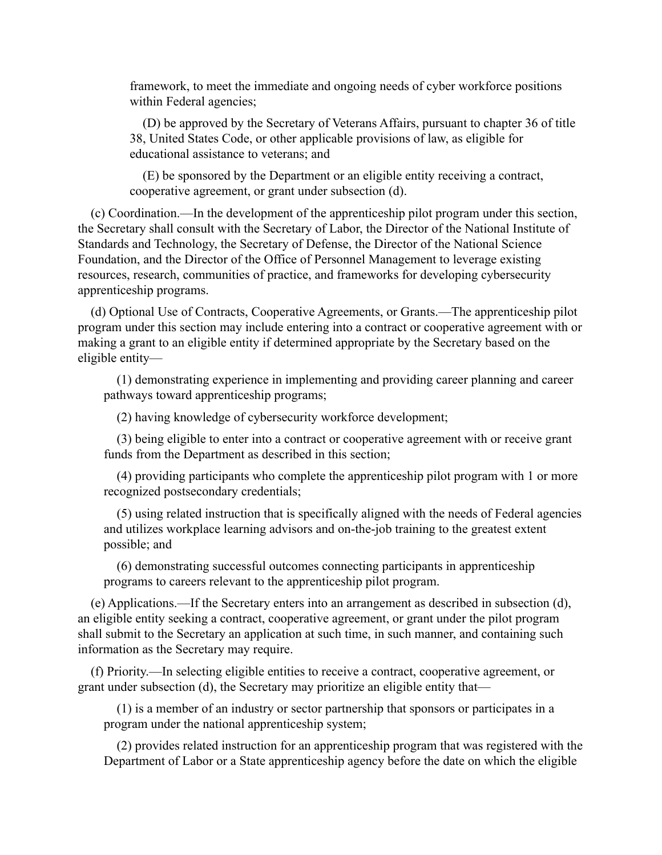framework, to meet the immediate and ongoing needs of cyber workforce positions within Federal agencies;

(D) be approved by the Secretary of Veterans Affairs, pursuant to chapter 36 of title 38, United States Code, or other applicable provisions of law, as eligible for educational assistance to veterans; and

(E) be sponsored by the Department or an eligible entity receiving a contract, cooperative agreement, or grant under subsection (d).

(c) Coordination.—In the development of the apprenticeship pilot program under this section, the Secretary shall consult with the Secretary of Labor, the Director of the National Institute of Standards and Technology, the Secretary of Defense, the Director of the National Science Foundation, and the Director of the Office of Personnel Management to leverage existing resources, research, communities of practice, and frameworks for developing cybersecurity apprenticeship programs.

(d) Optional Use of Contracts, Cooperative Agreements, or Grants.—The apprenticeship pilot program under this section may include entering into a contract or cooperative agreement with or making a grant to an eligible entity if determined appropriate by the Secretary based on the eligible entity—

(1) demonstrating experience in implementing and providing career planning and career pathways toward apprenticeship programs;

(2) having knowledge of cybersecurity workforce development;

(3) being eligible to enter into a contract or cooperative agreement with or receive grant funds from the Department as described in this section;

(4) providing participants who complete the apprenticeship pilot program with 1 or more recognized postsecondary credentials;

(5) using related instruction that is specifically aligned with the needs of Federal agencies and utilizes workplace learning advisors and on-the-job training to the greatest extent possible; and

(6) demonstrating successful outcomes connecting participants in apprenticeship programs to careers relevant to the apprenticeship pilot program.

(e) Applications.—If the Secretary enters into an arrangement as described in subsection (d), an eligible entity seeking a contract, cooperative agreement, or grant under the pilot program shall submit to the Secretary an application at such time, in such manner, and containing such information as the Secretary may require.

(f) Priority.—In selecting eligible entities to receive a contract, cooperative agreement, or grant under subsection (d), the Secretary may prioritize an eligible entity that—

(1) is a member of an industry or sector partnership that sponsors or participates in a program under the national apprenticeship system;

(2) provides related instruction for an apprenticeship program that was registered with the Department of Labor or a State apprenticeship agency before the date on which the eligible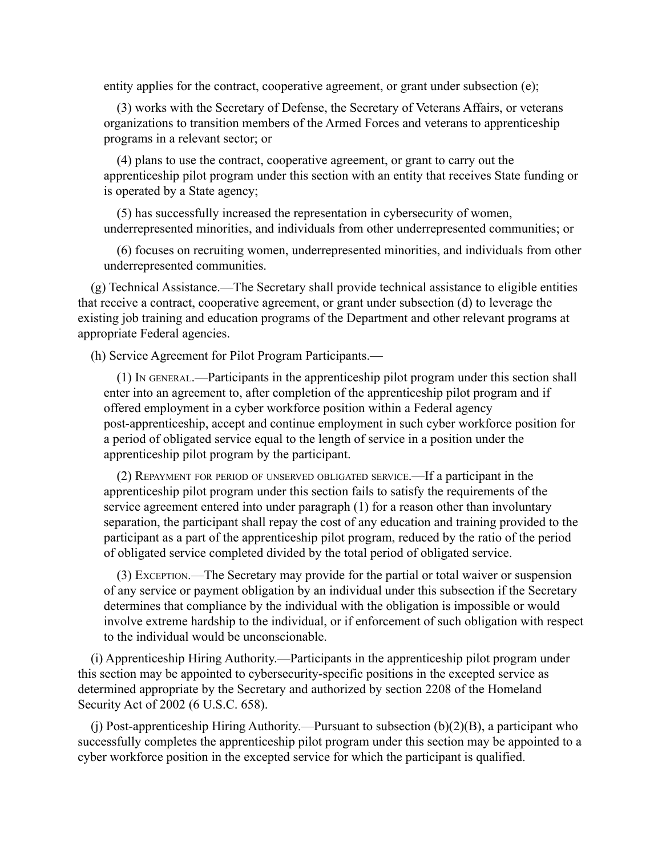entity applies for the contract, cooperative agreement, or grant under subsection (e);

(3) works with the Secretary of Defense, the Secretary of Veterans Affairs, or veterans organizations to transition members of the Armed Forces and veterans to apprenticeship programs in a relevant sector; or

(4) plans to use the contract, cooperative agreement, or grant to carry out the apprenticeship pilot program under this section with an entity that receives State funding or is operated by a State agency;

(5) has successfully increased the representation in cybersecurity of women, underrepresented minorities, and individuals from other underrepresented communities; or

(6) focuses on recruiting women, underrepresented minorities, and individuals from other underrepresented communities.

(g) Technical Assistance.—The Secretary shall provide technical assistance to eligible entities that receive a contract, cooperative agreement, or grant under subsection (d) to leverage the existing job training and education programs of the Department and other relevant programs at appropriate Federal agencies.

(h) Service Agreement for Pilot Program Participants.—

(1) IN GENERAL.—Participants in the apprenticeship pilot program under this section shall enter into an agreement to, after completion of the apprenticeship pilot program and if offered employment in a cyber workforce position within a Federal agency post-apprenticeship, accept and continue employment in such cyber workforce position for a period of obligated service equal to the length of service in a position under the apprenticeship pilot program by the participant.

(2) REPAYMENT FOR PERIOD OF UNSERVED OBLIGATED SERVICE.—If a participant in the apprenticeship pilot program under this section fails to satisfy the requirements of the service agreement entered into under paragraph (1) for a reason other than involuntary separation, the participant shall repay the cost of any education and training provided to the participant as a part of the apprenticeship pilot program, reduced by the ratio of the period of obligated service completed divided by the total period of obligated service.

(3) EXCEPTION.—The Secretary may provide for the partial or total waiver or suspension of any service or payment obligation by an individual under this subsection if the Secretary determines that compliance by the individual with the obligation is impossible or would involve extreme hardship to the individual, or if enforcement of such obligation with respect to the individual would be unconscionable.

(i) Apprenticeship Hiring Authority.—Participants in the apprenticeship pilot program under this section may be appointed to cybersecurity-specific positions in the excepted service as determined appropriate by the Secretary and authorized by section 2208 of the Homeland Security Act of 2002 (6 U.S.C. 658).

(i) Post-apprenticeship Hiring Authority.—Pursuant to subsection  $(b)(2)(B)$ , a participant who successfully completes the apprenticeship pilot program under this section may be appointed to a cyber workforce position in the excepted service for which the participant is qualified.